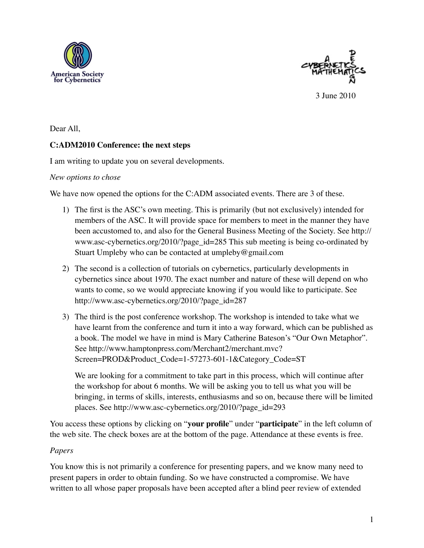



3 June 2010

Dear All,

# **C:ADM2010 Conference: the next steps**

I am writing to update you on several developments.

### *New options to chose*

We have now opened the options for the C:ADM associated events. There are 3 of these.

- 1) The first is the ASC's own meeting. This is primarily (but not exclusively) intended for members of the ASC. It will provide space for members to meet in the manner they have been accustomed to, and also for the General Business Meeting of the Society. See [http://](http://www.asc-cybernetics.org/2010/?page_id=285) [www.asc-cybernetics.org/2010/?page\\_id=285](http://www.asc-cybernetics.org/2010/?page_id=285) This sub meeting is being co-ordinated by Stuart Umpleby who can be contacted at [umpleby@gmail.com](mailto:umpleby@gmail.com)
- 2) The second is a collection of tutorials on cybernetics, particularly developments in cybernetics since about 1970. The exact number and nature of these will depend on who wants to come, so we would appreciate knowing if you would like to participate. See [http://www.asc-cybernetics.org/2010/?page\\_id=287](http://www.asc-cybernetics.org/2010/?page_id=287)
- 3) The third is the post conference workshop. The workshop is intended to take what we have learnt from the conference and turn it into a way forward, which can be published as a book. The model we have in mind is Mary Catherine Bateson's "Our Own Metaphor". See [http://www.hamptonpress.com/Merchant2/merchant.mvc?](http://www.hamptonpress.com/Merchant2/merchant.mvc?Screen=PROD&Product_Code=1-57273-601-1&Category_Code=ST) [Screen=PROD&Product\\_Code=1-57273-601-1&Category\\_Code=ST](http://www.hamptonpress.com/Merchant2/merchant.mvc?Screen=PROD&Product_Code=1-57273-601-1&Category_Code=ST)

We are looking for a commitment to take part in this process, which will continue after the workshop for about 6 months. We will be asking you to tell us what you will be bringing, in terms of skills, interests, enthusiasms and so on, because there will be limited places. See [http://www.asc-cybernetics.org/2010/?page\\_id=293](http://www.asc-cybernetics.org/2010/?page_id=293)

You access these options by clicking on "**your profile**" under "**participate**" in the left column of the web site. The check boxes are at the bottom of the page. Attendance at these events is free.

## *Papers*

You know this is not primarily a conference for presenting papers, and we know many need to present papers in order to obtain funding. So we have constructed a compromise. We have written to all whose paper proposals have been accepted after a blind peer review of extended